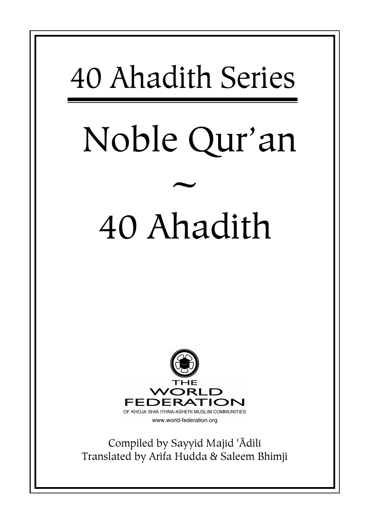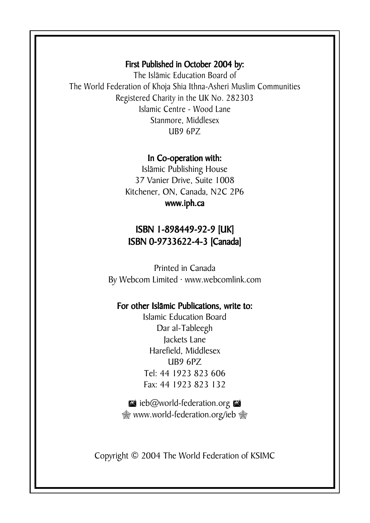#### First Published in October 2004 by:

The Islāmic Education Board of The World Federation of Khoja Shia Ithna-Asheri Muslim Communities Registered Charity in the UK No. 282303 Islamic Centre - Wood Lane Stanmore, Middlesex UB9 6PZ

#### In Co-operation with:

Islāmic Publishing House 37 Vanier Drive, Suite 1008 Kitchener, ON, Canada, N2C 2P6 www.iph.ca

#### ISBN 1- 1-898449-92-9 [UK] ISBN 0-9733622-4-3 [Canada]

Printed in Canada By Webcom Limited · www.webcomlink.com

#### For other Islāmic Publications, write to:

Islamic Education Board Dar al-Tableegh Jackets Lane Harefield, Middlesex UB9 6PZ Tel: 44 1923 823 606 Fax: 44 1923 823 132

zieb@world-federation.org  $^{\circledR}$  www.world-federation.org/ieb  $^{\circledR}$ 

Copyright © 2004 The World Federation of KSIMC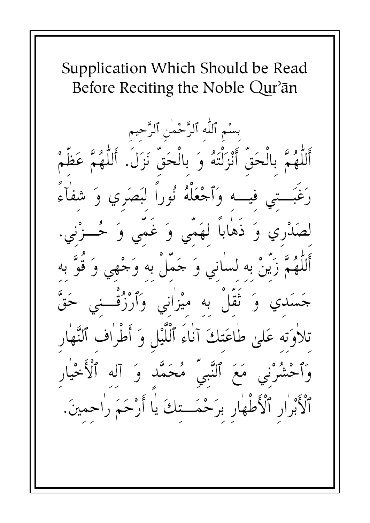Supplication Which Should be Read Before Reciting the Noble Qur'an

بسْم ٱللَّه ٱلرَّحْمٰنِ ٱلرَّحيمِ مَّ بِالْحَقِّ أَنْزَلْتَهُ وَ بِالْحَقِّ نَزَلَ. أَللَّهُمَّ عَظَّمْ فيه وَٱجْعَلْهُ نُوراً لبَصَرِي وَ شفأء لصَدْري وَ ذَهٰاباً لهَمّي وَ غَمّي وَ حُــزْنِي زَيَّنْ به لسٰاني وَ حَمَّلْ به وَجْهِي وَ قَوَّ به وَ نَقَلْ به ميْزٰاني وَٱرْزُقْــني حَقَّ تلاٰوَته عَلىٰ طاعَتكَ آناءَ ٱلْلَّيْلِ وَ أَطْراف ٱلنَّهار وَٱحْشُرْني مَعَ ٱلنَّبيِّ مُحَمَّد وَ آله ٱلْأَخْيٰ ٱلْأَبْرَارِ ٱلْأَطْهَارِ برَحْمَــتكَ يَا أَرْحَمَ رَاحمينَ.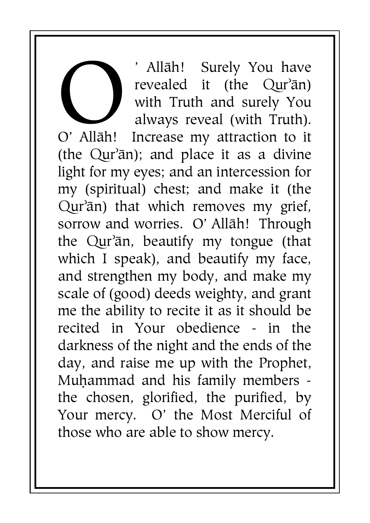' Allāh! Surely You have revealed it (the  $Qur^3$ ān) with Truth and surely You always reveal (with Truth). Increase my attraction to it (the  $Qur^3$ an); and place it as a divine light for my eyes; and an intercession for my (spiritual) chest; and make it (the Qur'ān) that which removes my grief, sorrow and worries. O' Allāh! Through the  $Qur<sub>an</sub>$ , beautify my tongue (that which I speak), and beautify my face, and strengthen my body, and make my scale of (good) deeds weighty, and grant me the ability to recite it as it should be recited in Your obedience - in the darkness of the night and the ends of the day, and raise me up with the Prophet, Muhammad and his family members the chosen, glorified, the purified, by Your mercy. O' the Most Merciful of those who are able to show mercy. O' Allāh!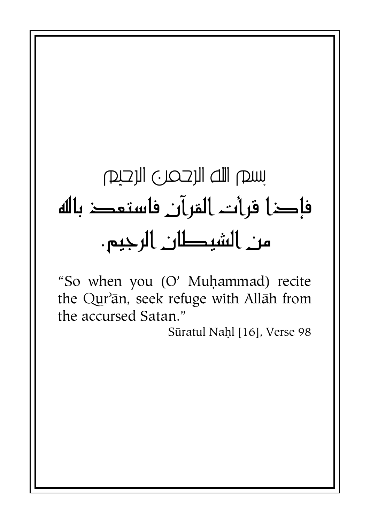# سم الله الرحمر ) الرحيم فإكل فرأت المرآن فاستعد باله من الشيطان الرجيم.

"So when you (O' Muhammad) recite the Qur'ān, seek refuge with Allāh from the accursed Satan."

Sūratul Nahl [16], Verse 98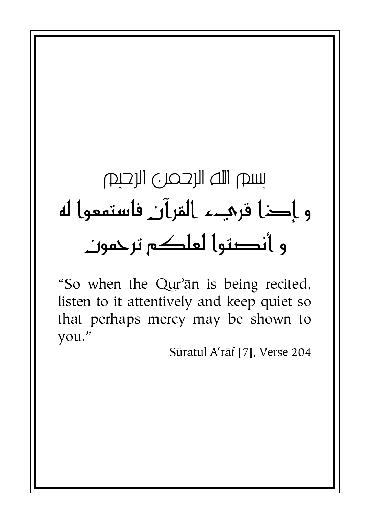# سيص الله الرحمري الرحيص و إكا قرمهء القرآن فاستمعوا له و أنصتوا لعلكم ترحمون

"So when the Qur'an is being recited, listen to it attentively and keep quiet so that perhaps mercy may be shown to vou."

Sūratul A'rāf [7], Verse 204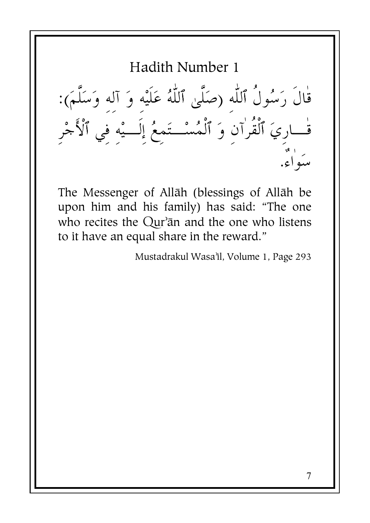قال رَسُول ٱللَّهِ (صَلَىٰ ٱللَّهُ عَلَيْهِ وَ آلِهِ وَسَلَمَ): قـــارِيَ ٱلقرآنِ وَ ٱلْمُسْــتَمِعُ إِلـــيْهِ فِي ٱلأَجْرِ سَوَّاء.

The Messenger of Allāh (blessings of Allāh be upon him and his family) has said: "The one who recites the Qur'an and the one who listens to it have an equal share in the reward."

Mustadrakul Wasa'il, Volume 1, Page 293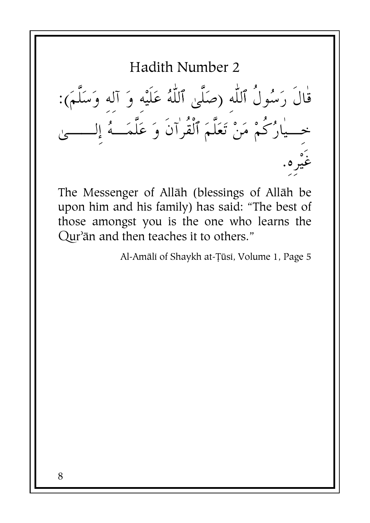قال رَسُول ٱللَّهِ (صَلَىٰ ٱللَّهُ عَلَيْهِ وَ آلِهِ وَسَلَمَ): خِـــيارُكُمْ مَنْ تَعَلَّمَ ٱلقرآن وَ عَلَمَـــهُ إِلــــــيْ غيْرِ - $\ddot{\cdot}$ 

The Messenger of Allāh (blessings of Allāh be upon him and his family) has said: "The best of those amongst you is the one who learns the Qur'ān and then teaches it to others."

Al-Amāli of Shaykh at-Tūsi, Volume 1, Page 5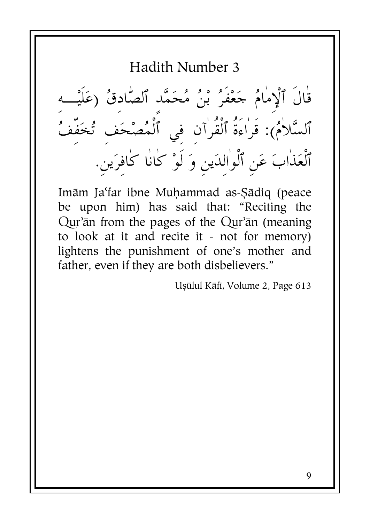قٰالَ ٱلْإِمٰامُ حَعْفَرُ بْنُ مُحَمَّد ٱلصَّادقُ (عَلَيْـــه<br>ٱلسَّلاٰمُ): قَراءَةُ ٱلْقُرٰآنِ فِي ٱلْمُصْحَفِ تُخَفِّفُ ٱلْعَذٰابَ عَنِ ٱلْوٰالدَينِ وَ لَوْ كٰانٰا كٰافرَينِ.

Imām Ja'far ibne Muhammad as-Sādiq (peace be upon him) has said that: "Reciting the Qur'ān from the pages of the Qur'ān (meaning to look at it and recite it - not for memory) lightens the punishment of one's mother and father, even if they are both disbelievers."

Usūlul Kāfi, Volume 2, Page 613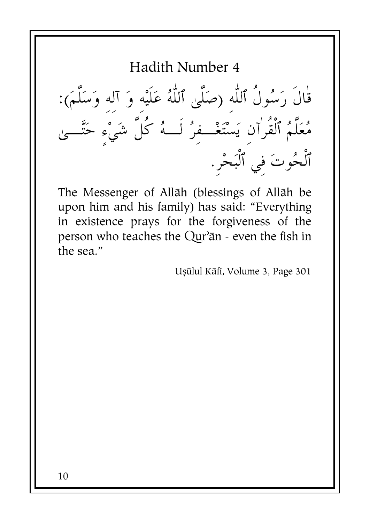قٰالَ رَسُولُ ٱللَّٰهِ (صَلَّىٰ ٱللَّٰهُ عَلَيْه وَ آله وَسَلَّمَ):<br>مُعَلَّمُ ٱلْقُرٰآنِ يَسْتَغْــفِرُ لَــهُ كُلَّ شَيْءٍ حَتَّــىٰ<br>ٱلْحُوتَ فِي ٱلْبَحْرِ.

The Messenger of Allāh (blessings of Allāh be upon him and his family) has said: "Everything in existence prays for the forgiveness of the person who teaches the Qur'ān - even the fish in the sea."

Usūlul Kāfi, Volume 3, Page 301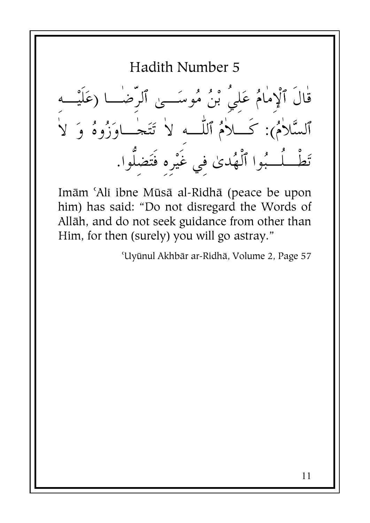Hadith Number 5 قال ٱلْإِمامُ عَلِي بْنُ مُوسَـــىٰ ٱلرِضـــا (عَلَيْـــهِ ٱلسَّلامُ): كــــلامُ ٱللّـــهِ لا تَتَحـــاوَزُوهُ وَ لا تَطْــلُـــبُوا ٱلْهُدىٰ فِي غَيْرِهِ فَتَضِلُّوا.

Imām 'Alī ibne Mūsā al-Ridhā (peace be upon him) has said: "Do not disregard the Words of Allāh, and do not seek guidance from other than Him, for then (surely) you will go astray."

'Uyūnul Akhbār ar-Ridhā, Volume 2, Page 57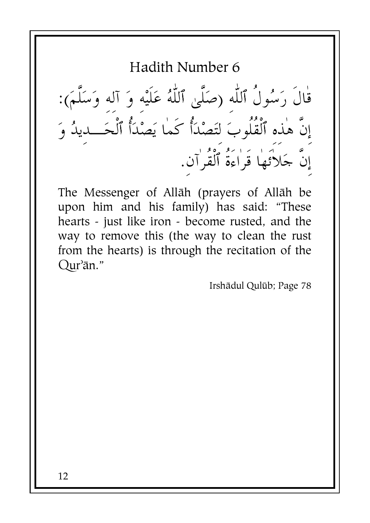قال رَسُول ٱللَّهِ (صَلَىٰ ٱللَّهُ عَلَيْهِ وَ آلِهِ وَسَلَمَ): -إن هذه ٱلقلوبَ لِتَصْدَأَ كما يَصْدَأُ ٱلْحَـــدِيدُ وَ إِنَّ حَلاَتَها قَراءَةُ ٱلْقُرْآنِ.

The Messenger of Allāh (prayers of Allāh be upon him and his family) has said: "These hearts - just like iron - become rusted, and the way to remove this (the way to clean the rust from the hearts) is through the recitation of the Qur'ān."

Irshādul Qulūb; Page 78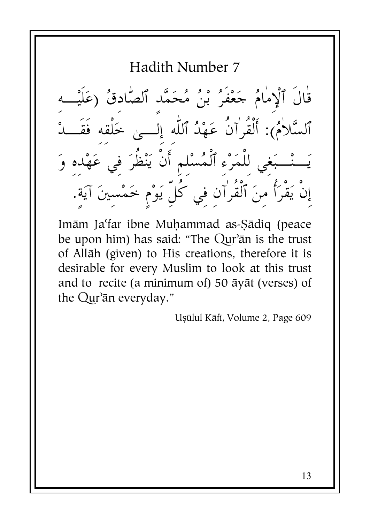Hadith Number 7  $\frac{d}{dx}$ قال ٱلْإِمامُ حَعْفُرُ بْنُ مُحَمَّدِ ٱلصَّادِقُ (عَلَيْــهِ ٱلسَّلامُ): أَلقرآن عَهْدُ ٱللَّهِ إِلـــي خَلقِهِ فقـــدْ .<br>م يَـــْــبَغِي لِلمَرْءِ ٱلْمُسْلِمِ أَن يَنْظِرَ فِي عَهْدِهِ وَ .<br>ا إنْ يَقْرَأُ مِنَ ٱلْقُرٰآنِ فِي كُلِّ يَوْم خَمْسينَ آيَة.

Imām Ja'far ibne Muhammad as-Sādiq (peace be upon him) has said: "The Qur'ān is the trust of Allāh (given) to His creations, therefore it is desirable for every Muslim to look at this trust and to recite (a minimum of) 50  $\bar{a}$ y $\bar{a}$ t (verses) of the Qur'ān everyday."

Uşūlul Kāfi, Volume 2, Page 609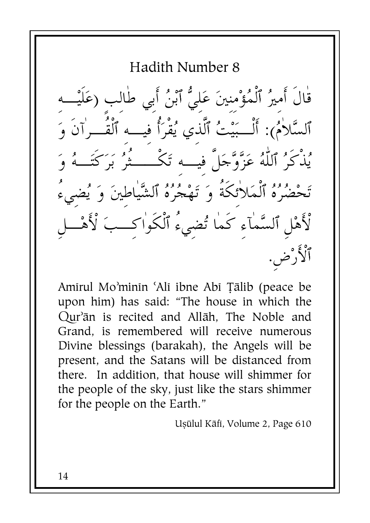Hadith Number 8 قٰالَ أَميرُ ٱلْمُؤْمنينَ عَليُّ ٱبْنُ أَبي طٰالب (عَاَ ٱلسَّلاٰمُ): أَلْــبَيْتُ ٱلَّذي يُقْرَأُ فيــه ٱلْقُــرٰاَنَ وَ ،<br>يُذْكَرُ ٱللَّٰهُ عَزَّوَّجَلَّ فيه تَكْــــثَرُ يَرَ تَحْضُرُهُ ٱلْمَلاٰئكَةُ وَ تَهْجُرُهُ ٱلشَّياطينَ وَ يُضيءُ لْأَهْلِ ٱلسَّمٰآءِ كَمٰا تُضيءُ ٱلْكَوٰاكــبَ لْأَهْـــل ٱلْأَرْض.

Amirul Mo'minin 'Ali ibne Abi Tālib (peace be upon him) has said: "The house in which the Our'an is recited and Allah. The Noble and Grand, is remembered will receive numerous Divine blessings (barakah), the Angels will be present, and the Satans will be distanced from there. In addition, that house will shimmer for the people of the sky, just like the stars shimmer for the people on the Earth."

Uşülul Kāfi, Volume 2, Page 610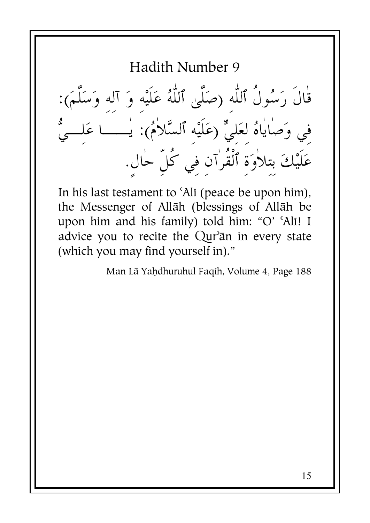قْالَ رَسُولُ ٱللَّٰهِ (صَلَّىٰ ٱللَّٰہُ عَلَيْهِ وَ آلِهِ وَسَلَّمَ):<br>فِي وَصَاٰيَاهُ لِعَلِيٍّ (عَلَيْهِ ٱلسَّلاٰمُ): يٰـــَــا عَلِـــيُّ عَلَيْكَ بتلاوَةَ ٱلْقُرٰان في كُلِّ حال.

In his last testament to 'Ali (peace be upon him), the Messenger of Allāh (blessings of Allāh be upon him and his family) told him: "O' 'Ali! I advice you to recite the Qur'an in every state (which you may find yourself in)."

Man Lā Yahdhuruhul Faqih, Volume 4, Page 188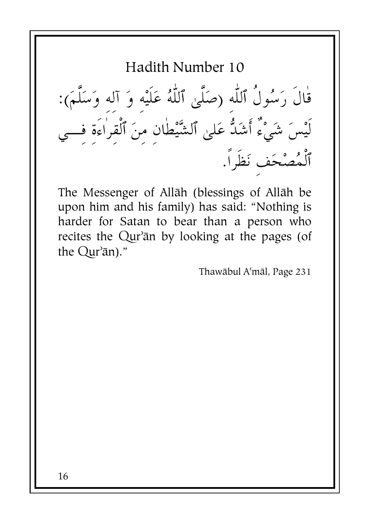Hadith Number 10

قال رَسُول ٱللَّهِ (صَلَىٰ ٱللَّهُ عَلَيْهِ وَ آلِهِ وَسَلَمَ): لَيْسَ شَيْء أَشَدَّ عَلَىٰ ٱلشَّيْطَانِ مِنَ ٱلقراءة فـــي ٱلمُصْحَفِ نَظرا.

The Messenger of Allāh (blessings of Allāh be upon him and his family) has said: "Nothing is harder for Satan to bear than a person who recites the Qur'ān by looking at the pages (of the Qur'ān)."

Thawābul A'māl, Page 231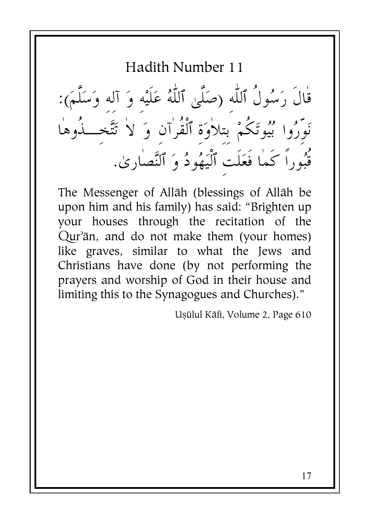قٰالَ رَسُولُ ٱللّٰه (صَلَّىٰ ٱللّٰهُ عَلَيْه وَ آله وَسَلَّمَ): ر من الاسمبر<br>نَوِّرُوا بُيُوتَكُمْ بِتِلاوَةِ ٱلْقُرٰآنِ وَ لاٰ تَتَّخَــٰذُوهَا قُبُوراً كَما فَعَلَت ٱلْيَهُودُ وَ ٱلنَّصٰارِ ىٰ.

The Messenger of Allāh (blessings of Allāh be upon him and his family) has said: "Brighten up your houses through the recitation of the Qur'ān, and do not make them (your homes) like graves, similar to what the Jews and Christians have done (by not performing the pravers and worship of God in their house and limiting this to the Synagogues and Churches)."

Usūlul Kāfi, Volume 2, Page 610

 $17$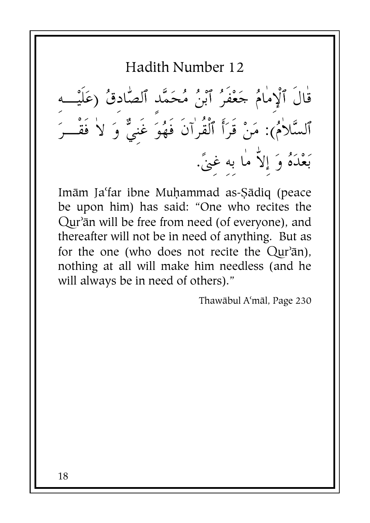قال ٱلْإِمامُ حَعْفُرُ ٱبْنُ مُحَمَّدِ ٱلصَّادِقُ (عَلَيْـــهِ ٱلسَّلاَمُ): مَنْ قرَأَ ٱلقرآن فهُوَ غَنِيٌّ وَ لاَ فقـــرَ بَعْدَهُ وَ إِلاّ ما به غِنً.

Imām Ja'far ibne Muhammad as-Sādiq (peace be upon him) has said: "One who recites the Qur'ān will be free from need (of everyone), and thereafter will not be in need of anything. But as for the one (who does not recite the  $Qur^2\bar{a}n$ ), nothing at all will make him needless (and he will always be in need of others)."

Thawābul A'māl, Page 230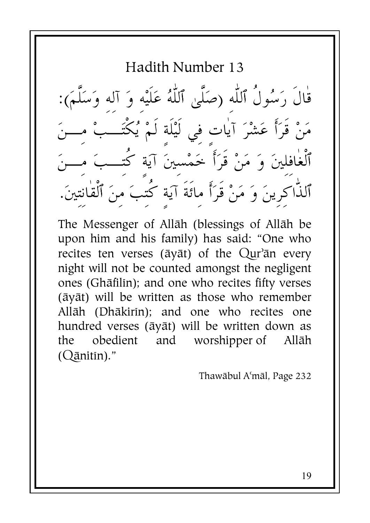Hadith Number 13

قال رَسُول ٱللَّهِ (صَلَىٰ ٱللَّهُ عَلَيْهِ وَ آلِهِ وَسَلَمَ): بــــنَ مَنْ قرَأَ عَشْرَ آياتٍ فِي لَيْلَةِ لَمْ يُكَتَـــبْ مِ بــــنَ تـــبَ م ٱلغافِلينَ وَ مَنْ قَرَأَ خَمْسِينَ آيَةٍ كَتَ <u>فر</u> .<br>تين. نت ٱلذَّاكِرِينَ وَ مَنْ قَرَأَ مائة آيَة كتبَ منَ ٱلقان

The Messenger of Allāh (blessings of Allāh be upon him and his family) has said: "One who recites ten verses (āyāt) of the Qur'ān every night will not be counted amongst the negligent ones (Ghāfilin); and one who recites fifty verses (āyāt) will be written as those who remember Allāh (Dhākirin); and one who recites one hundred verses (āyāt) will be written down as the obedient and worshipper of Allāh  $(Q$ ānitīn)."

Thawābul A'māl, Page 232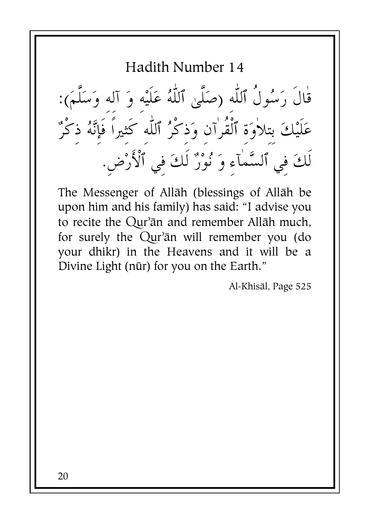قْالَ رَسُولُ ٱللَّه (صَلَّىٰ ٱللَّهُ عَلَيْه وَ آله وَسَلَّمَ): عَلَيْكَ بتلاٰوَة ٱلْقُرٰآن وَذكْرُ ٱللّٰه كَثيراً فَإِنَّهُ ذكْرٌ لَكَ في ٱلسَّمٰآء وَ نُوْرٌ لَكَ في ٱلْأَرْضِ.

The Messenger of Allāh (blessings of Allāh be upon him and his family) has said: "I advise you to recite the Qur'ān and remember Allāh much, for surely the Qur'an will remember you (do your dhikr) in the Heavens and it will be a Divine Light (nūr) for you on the Earth."

Al-Khisāl, Page 525

20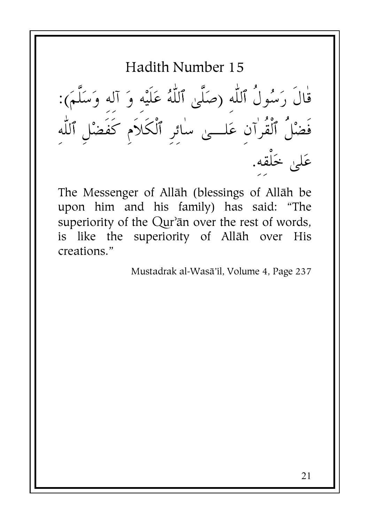قال رَسُول ٱللَّهِ (صَلَىٰ ٱللَّهُ عَلَيْهِ وَ آلِهِ وَسَلَمَ): فضْل ٱلقرآنِ عَلــــى سائرِ ٱلكلامِ كفضْلِ ٱللَّهِ عَلىٰ خَلقه.

The Messenger of Allāh (blessings of Allāh be upon him and his family) has said: "The superiority of the Qur'an over the rest of words, is like the superiority of Allāh over His creations."

Mustadrak al-Wasā'il, Volume 4, Page 237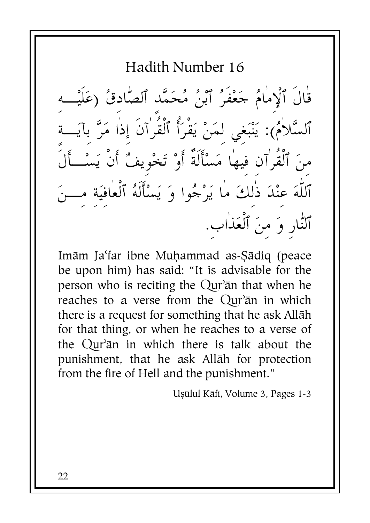قَالَ ٱلْإِمَامُ جَعْفَرُ ٱبْنُ مُحَمَّد ٱلصَّادقُ (عَلَيْــه ٱلسَّلاٰمُ): يَنْبَغي لمَنْ يَقْرَأُ ٱلْقُرَٰانَ إذا مَرَّ بآيَــة مِنَ ٱلْقُرٰآن فيها مَسْأَلَةٌ أَوْ تَخْويفٌ أَنْ يَسْــأَلَٰ ٱللَّهَ عِنْدَ ذٰلِكَ ما يَرْجُوا وَ يَسْأَلَهُ ٱلْعَافِيَةِ مِبْ ٱلنّٰارِ وَ منَ ٱلْعَذٰابِ.

Imām Ja'far ibne Muhammad as-Sādiq (peace be upon him) has said: "It is advisable for the person who is reciting the Qur'an that when he reaches to a verse from the Qur'an in which there is a request for something that he ask Allāh for that thing, or when he reaches to a verse of the Qur'an in which there is talk about the punishment, that he ask Allāh for protection from the fire of Hell and the punishment."

Ușūlul Kāfi, Volume 3. Pages 1-3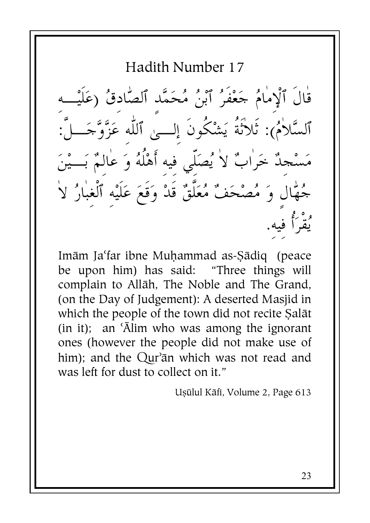Hadith Number 17 قْالَ ٱلْإِمَامُ حَعْفَرُ ٱبْنُ مُحَمَّد ٱلصَّادقُ (عَلَيْـــه ٱلسَّلاٰمُ): ثَلاَثَةُ يَشْكُونَ إلـــىً ٱللَّه عَزَّوَّجَـــلَّ مَسْجلٌ خَرٰابٌ لاٰ يُصَلَّى فيه أَهْلُهُ وَ عٰالـمٌ بَـــيْنَ جُهَّالَ وَ مُصْحَفٌ مُعَلَّقٌ قَدْ وَقَعَ عَلَيْه ٱلْغبَارُ لاَ و° وُگُم فيه.

Imām Ja'far ibne Muhammad as-Sādiq (peace be upon him) has said: "Three things will complain to Allāh, The Noble and The Grand, (on the Day of Judgement): A deserted Masjid in which the people of the town did not recite Salāt (in it); an 'Alim who was among the ignorant ones (however the people did not make use of him); and the Qur'ān which was not read and was left for dust to collect on it."

Uşülul Kāfi, Volume 2, Page 613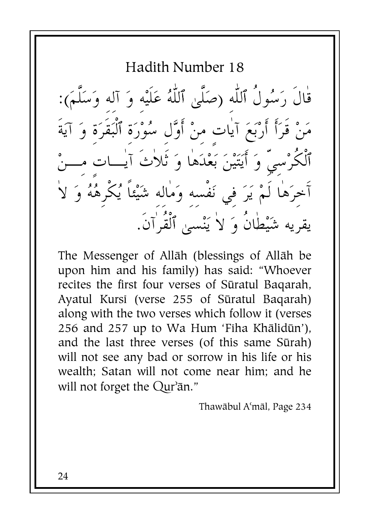Hadith Number 18

قٰالَ رَسُولُ ٱللّٰه (صَلَّىٰ ٱللّٰهُ عَلَيْه وَ آله وَسَلَّمَ): مَنْ قَرَأَ أَرْبَعَ آيٰات منْ أَوَّل سُوْرَة ٱلْبَقَرَة وَ آيَةَ ٱلْكُرْسيِّ وَ أَيَتَيْنَ بَعْدَهَا وَ ثَلاٰتَ آيٰــات مـــنْ ٱخرَهَا لَمْ يَرَ في نَفْسه وَمَاله شَيْئاً يُكْرِهُهُ وَ لاَ يقريه شَيْطانُ وَ لاٰ يَنْسَىٰ ٱلْقُرَٰانَ.

The Messenger of Allāh (blessings of Allāh be upon him and his family) has said: "Whoever recites the first four verses of Sūratul Bagarah, Ayatul Kursi (verse 255 of Sūratul Bagarah) along with the two verses which follow it (verses 256 and 257 up to Wa Hum 'Fiha Khālidūn'), and the last three verses (of this same Sūrah) will not see any bad or sorrow in his life or his wealth: Satan will not come near him; and he will not forget the Qur'ān."

Thawābul A'māl, Page 234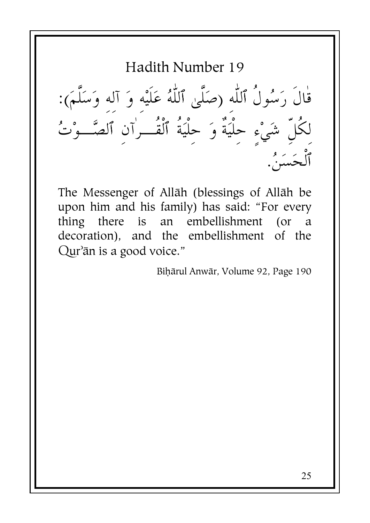Hadith Number 19 قال رَسُول ٱللَّهِ (صَلَىٰ ٱللَّهُ عَلَيْهِ وَ آلِهِ وَسَلَمَ): لكل شَيْءٍ حِليَة وَ حِليَة ٱلقـــرَآنِ ٱلصَّـــوْتُ .<br>. j .<br>ألحَسَنَ.

The Messenger of Allāh (blessings of Allāh be upon him and his family) has said: "For every thing there is an embellishment (or a decoration), and the embellishment of the Qur'ān is a good voice."

Bihārul Anwār, Volume 92, Page 190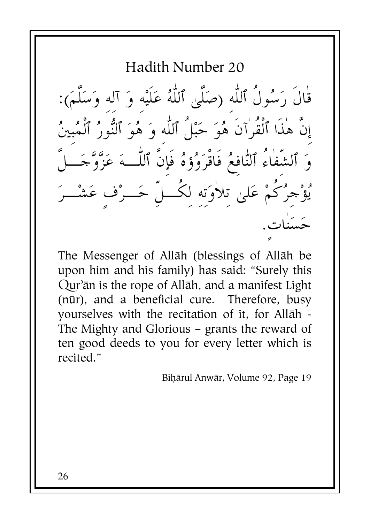Hadith Number 20 قْالَ رَسُولُ ٱللَّه (صَلَّىٰ ٱللَّهُ عَلَيْه وَ آله وَسَلَّمَ): إِنَّ هٰذَا ٱلْقُرٰآنَ هُوَ حَبْلُ ٱللَّه وَ هُوَ ٱلنُّورُ ٱلْمُبِينُ جرُكُمْ عَليٰ تلأوَته لكُــلّ حَــرْف عَشْــرَ

The Messenger of Allāh (blessings of Allāh be upon him and his family) has said: "Surely this Qur'ān is the rope of Allāh, and a manifest Light (nūr), and a beneficial cure. Therefore, busy yourselves with the recitation of it, for Allāh -The Mighty and Glorious  $-$  grants the reward of ten good deeds to you for every letter which is recited."

Bihārul Anwār, Volume 92, Page 19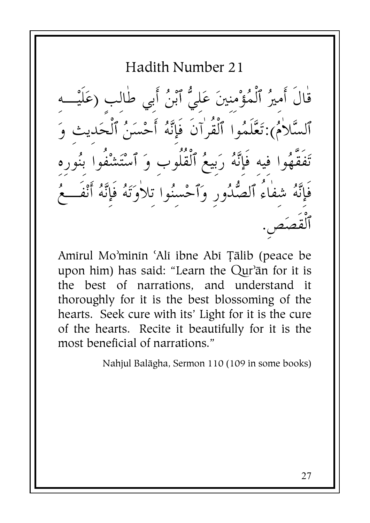Hadith Number 21 قٰالَ أَميرُ ٱلْمُؤْمِنِينَ عَليُّ ٱبْنُ أَبي طٰالب ( ٱلسَّلاٰمُ):تَعَّلَمُوا ٱلْقُرٰاَنَ فَإِنَّهُ أَحْسَنُ ٱلْحَ تَفَقَّهُوا فيه فَإِنَّهُ رَبيعُ ٱلْقُلُوب وَ ٱسْتَشْفُوا ٕ فَإِنَّهُ شفاءُ ٱلصُّدُورِ وَٱحْسنُوا تلاٰوَتَهُ فَإِنَّهُ أَنْفَـــ

Amirul Mo'minin 'Ali ibne Abi Tālib (peace be upon him) has said: "Learn the Qur'ān for it is the best of narrations, and understand it thoroughly for it is the best blossoming of the hearts. Seek cure with its' Light for it is the cure of the hearts. Recite it beautifully for it is the most beneficial of narrations."

Nahjul Balāgha, Sermon 110 (109 in some books)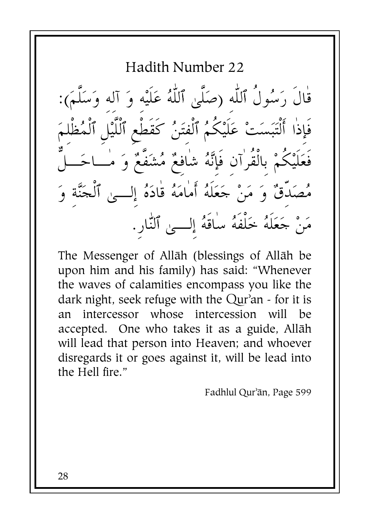Hadith Number 22

قال رَسُول ٱللَّهِ (صَلَىٰ ٱللَّهُ عَلَيْهِ وَ آلِهِ وَسَلَمَ):  $\zeta$ فإذا أَلْتَبَسَتْ عَلَيْكُمُ ٱلْفَتَنُ كَقطع ٱللَّيْلِ ٱلْمُظْلَمَ فَعَلَيْكُمْ بِالْقُرٰآنِ فَإِنَّهُ شَافِعٌ مُشَفَّعٌ وَ مُــاحَـــلٌّ مُصَدِقٌ وَ مَنْ حَعَلْهُ أَمَامَهُ قَادَهُ إِلـــى ٱلْحَنَّة وَ مَنْ حَعَلْهُ خَلْفَهُ سَاقَهُ إِلــــىٰ ٱلنَّارِ.

The Messenger of Allāh (blessings of Allāh be upon him and his family) has said: "Whenever the waves of calamities encompass you like the dark night, seek refuge with the Qur'an - for it is an intercessor whose intercession will be accepted. One who takes it as a guide, Allāh will lead that person into Heaven; and whoever disregards it or goes against it, will be lead into the Hell fire."

Fadhlul Qur'ān, Page 599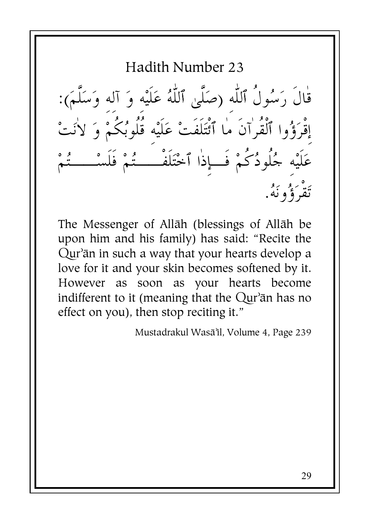Hadith Number 23

قال رَسُول ٱللَّهِ (صَلَىٰ ٱللَّهُ عَلَيْهِ وَ آلِهِ وَسَلَمَ): إقرَؤُوا ٱلقرآن ما ٱئتَلفتْ عَلَيْهِ قلوبُكمْ وَ لانَتْ عَلَيْهِ جُلودُكمْ فــإِذا ٱخْتَلفـــــتُمْ فلسْـــــتُمْ ئة گوڭو.<br>تقرؤونۇ.

The Messenger of Allāh (blessings of Allāh be upon him and his family) has said: "Recite the Qur'ān in such a way that your hearts develop a love for it and your skin becomes softened by it. However as soon as your hearts become indifferent to it (meaning that the  $Qur$ <sup> $>$ </sup>ān has no effect on you), then stop reciting it."

Mustadrakul Wasā'il, Volume 4, Page 239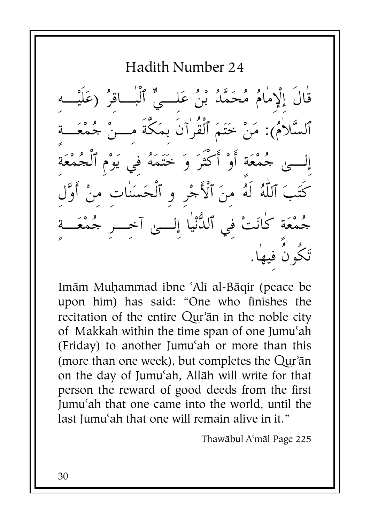Hadith Number 24  $\frac{d}{dx}$ قال إلإمامُ مُحَمَّدُ بْنُ عَلــيٍّ ٱلبـــاقِرُ (عَلَيْــهِ ٱلسَّلامُ): مَنْ حَتَمَ ٱلقرآن بِمَكَة مِـــنْ جُمْعَـــةِ إلـــىٰ حُمْعَةِ أَوْ أَكثرَ وَ خَتَمَهُ فِي يَوْمِ ٱلْجُمْعَةِ  $\sum_{i=1}^{n}$ كَتَبَ ٱللَّهُ لَهُ مِنَ ٱلْأَجْرِ وِ ٱلْحَسَناتِ منْ أَوَّل حُمْعَةِ كانَتْ فِي ٱلدَّنْيا إِلـــىٰ آجـــرِ حُمْعَـــةِ تَكُونَ فِيهَا.

Imām Muhammad ibne 'Alī al-Bāqir (peace be upon him) has said: "One who finishes the recitation of the entire Qur'an in the noble city of Makkah within the time span of one Jumu{ah (Friday) to another Jumu{ah or more than this (more than one week), but completes the  $Qur^2$ ān on the day of Jumu'ah, Allāh will write for that person the reward of good deeds from the first Jumu{ah that one came into the world, until the last Jumu'ah that one will remain alive in it."

Thawābul A'māl Page 225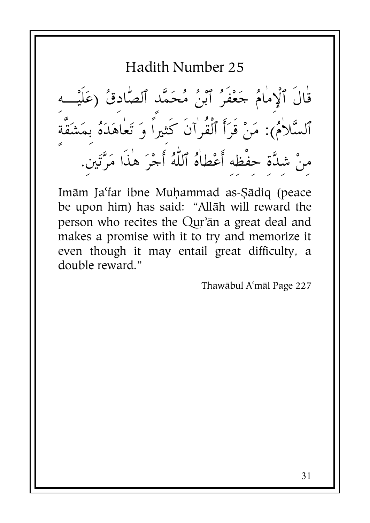قَالَ ٱلْإِمَامُ جَعْفَرُ ٱبْنُ مُحَمَّد ٱلصَّادقُ (عَلَيْـــه ٱلسَّلاٰمُ): مَنْ قَرَأَ ٱلْقُرٰآنَ كَثيراً وَ تَعٰاهَدَهُ بِمَشَقَّةَ منْ شدَّة حفْظه أَعْطاهُ ٱللَّهُ أَجْرَ هٰذَا مَرَّتَين.

Imām Ja'far ibne Muhammad as-Sādiq (peace be upon him) has said: "Allāh will reward the person who recites the Qur'ān a great deal and makes a promise with it to try and memorize it even though it may entail great difficulty, a double reward."

Thawābul A'māl Page 227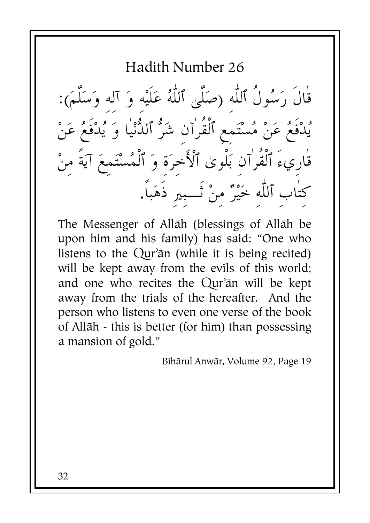Hadith Number 26

قال رَسُول ٱللَّهِ (صَلَىٰ ٱللَّهُ عَلَيْهِ وَ آلِهِ وَسَلَمَ): يُدْفعُ عَنْ مُسْتَمِعٍ ٱلقرآنِ شَرٌّ ٱلدُّنْيا وَ يُدْفعُ عَنْ قارِيء ٱلقرآنِ بَلوىٰ ٱلأخِرَةِ وَ ٱلْمُسْتَمِعَ آيَةٍ مِنْ كتاب ٱللّٰه خَيْرٌ منْ تَـــبير ذَهَباً.

The Messenger of Allāh (blessings of Allāh be upon him and his family) has said: "One who listens to the Qur'ān (while it is being recited) will be kept away from the evils of this world; and one who recites the Qur'ān will be kept away from the trials of the hereafter. And the person who listens to even one verse of the book of Allāh - this is better (for him) than possessing a mansion of gold."

Bihārul Anwār, Volume 92, Page 19

32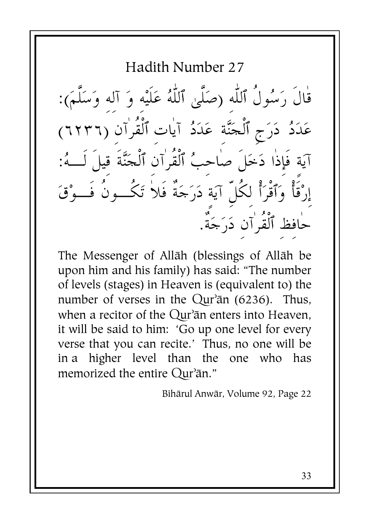قال رَسُول ٱللَّهِ (صَلَىٰ ٱللَّهُ عَلَيْهِ وَ آلِهِ وَسَلَمَ): عَدَدُ دَرَجٍ ٱلْجَنَّةِ عَدَدُ آياتِ ٱلقرآنِ (٦٢٣٦) آيَة فإِذا دَخَل صاحِبُ ٱلقرآنِ ٱلْحَنَّةِ قِيلٍ لَـــهُ: إِرْقًا وَٱقْرَأْ لِكُلِّ آيَةٍ دَرَجَةً فَلاَ تَكَـــونَ فَـــوْقَ حَافظ ٱلقرآنِ دَرَجَة.

The Messenger of Allāh (blessings of Allāh be upon him and his family) has said: "The number of levels (stages) in Heaven is (equivalent to) the number of verses in the  $Qur^2$ ān (6236). Thus, when a recitor of the  $Qur$ <sup> $2\pi$ </sup>n enters into Heaven, it will be said to him: 'Go up one level for every verse that you can recite.' Thus, no one will be in a higher level than the one who has memorized the entire  $Qur^2$ ān."

Bihārul Anwār, Volume 92, Page 22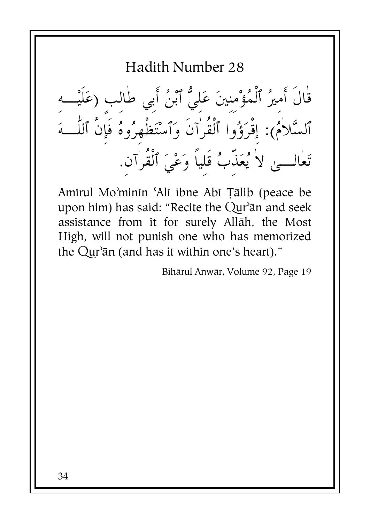قٰالَ أَميرُ ٱلْمُؤْمنِينَ عَلَيُّ ٱبْنُ أَبِي طٰالب (عَلَيْـــهِ<br>ٱلسَّلاٰمُ): إقْرَؤُوا ٱلْقُرٰاَنَ وَٱسْتَظْهِرُوهُ فَإِنَّ ٱللَّـــهَ تَعٰالـــىٰ لاٰ يُعَذَّبُ قَلياً وَعْيَ ٱلْقُرٰآن.

Amirul Mo'minin 'Ali ibne Abi Tālib (peace be upon him) has said: "Recite the Qur'ān and seek assistance from it for surely Allāh, the Most High, will not punish one who has memorized the Qur'an (and has it within one's heart)."

Bihārul Anwār, Volume 92, Page 19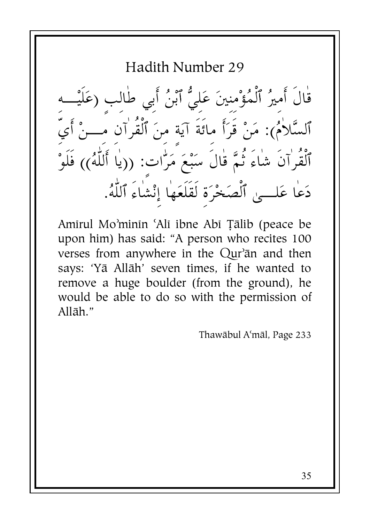Hadith Number 29 قٰالَ أَميرُ ٱلْمُؤْمنينَ عَليُّ ٱبْنُ أَبي طٰالب (عَلَيْــ ٱلسَّلاٰمُ): مَنْ قَرَأَ مائَةَ آيَة منَ ٱلْقُرٰآن مَـــنْ أَيّ ٱلْقُرٰآنَ شٰاءَ ثُمَّ قٰالَ سَبْعَ مَرّْات: ((يٰا أَللَّٰهُ)) فَلَوْ دَعَا عَلــي ٱلْصَخْرَة لَقَلَعَهَا إِنْشَاءَ ٱللَّهُ.

Amirul Mo'minin 'Ali ibne Abi Tālib (peace be upon him) has said: "A person who recites 100 verses from anywhere in the Qur'an and then says: 'Yā Allāh' seven times, if he wanted to remove a huge boulder (from the ground), he would be able to do so with the permission of Allāh."

Thawābul A'māl, Page 233

35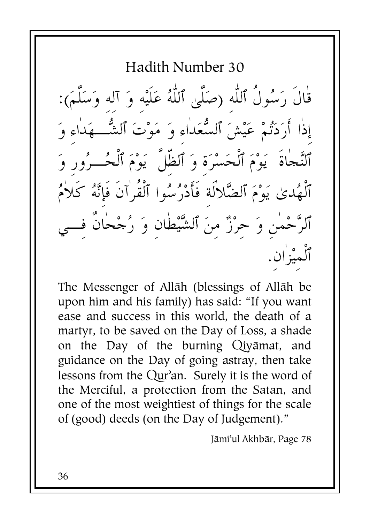Hadith Number 30 قال رَسُول ٱللَّهِ (صَلَىٰ ٱللَّهُ عَلَيْهِ وَ آلِهِ وَسَلَمَ): إذا أَرَدَتُمْ عَيْشَ ٱلسُّعَداءِ وَ مَوْتَ ٱلشُّـــهَداءِ وَ ٱلنَّحاة ۖ يَوْمَ ٱلْحَسْرَةِ وَ ٱلظِلْ ۖ يَوْمَ ٱلْحُـــرُورِ وَ ٱلْهُدىٰ يَوْمَ ٱلضَّلالةِ فأَدْرُسُوا ٱلقرآن فإنَّهُ كلامُ ٱلرَّحْمَنِ وَ حِرْزٌ مِنَ ٱلشَّيْطَانِ وَ رُجْحَانٍ فِـــيِ ٱلْمِيْزِانِ.

The Messenger of Allāh (blessings of Allāh be upon him and his family) has said: "If you want ease and success in this world, the death of a martyr, to be saved on the Day of Loss, a shade on the Day of the burning Qiyamat, and guidance on the Day of going astray, then take lessons from the Qur'an. Surely it is the word of the Merciful, a protection from the Satan, and one of the most weightiest of things for the scale of (good) deeds (on the Day of Judgement)."

Jāmi'ul Akhbār, Page 78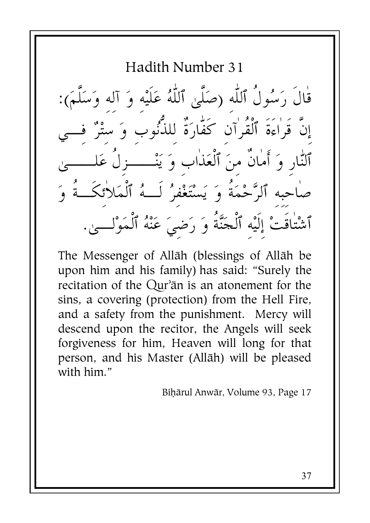Hadith Number 31

قال رَسُول ٱللَّهِ (صَلَىٰ ٱللَّهُ عَلَيْهِ وَ آلِهِ وَسَلَمَ): إن قراءة ٱلقرآن كفَّارَة للذُّنوب وَ ستْرٌ فـــي <u>ا</u>  $\sum_{i=1}^{n}$ ٱلنَّارِ وَ أَمَانَ مِنَ ٱلْعَذَابِ وَ يَنْـــــزِل عَلــــــى صَاحِبِهِ ٱلرَّحْمَةِ وَ يَسْتَغْفِرُ لَـــهُ ٱلْمَلائكـــةِ وَ ٱشْتٰاقَتْ إِلَيْهِ ٱلْحَنَّةُ وَ رَضِيَ عَنْهُ ٱلْمَوْلـــى.

The Messenger of Allāh (blessings of Allāh be upon him and his family) has said: "Surely the recitation of the  $\text{Qur}$ <sup> $\text{an}$ </sup> is an atonement for the sins, a covering (protection) from the Hell Fire, and a safety from the punishment. Mercy will descend upon the recitor, the Angels will seek forgiveness for him, Heaven will long for that person, and his Master (Allāh) will be pleased with him."

Bihārul Anwār, Volume 93, Page 17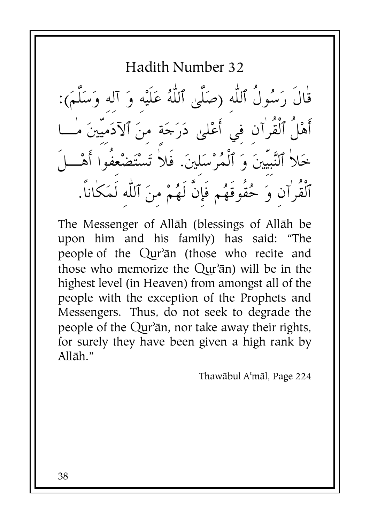Hadith Number 32

قال رَسُول ٱللَّهِ (صَلَىٰ ٱللَّهُ عَلَيْهِ وَ آلِهِ وَسَلَمَ): أَهْل ٱلقرآنِ فِي أَعْلَىٰ دَرَجَةٍ مِنَ ٱلْأَدَمِيينَ مـــا خَلا ٱلنَّبِيينَ وَ ٱلْمُرْسَلِينَ. فلا تَسْتَضْعِفُوا أَهْـــل ٱلقرآنِ وَ حُقوقهُم فإن لهُمْ مِنَ ٱللَّهِ لَمَكَانَا.

The Messenger of Allāh (blessings of Allāh be upon him and his family) has said: "The people of the Qur'an (those who recite and those who memorize the  $Qur^2$ an) will be in the highest level (in Heaven) from amongst all of the people with the exception of the Prophets and Messengers. Thus, do not seek to degrade the people of the Qur'ān, nor take away their rights, for surely they have been given a high rank by Allāh."

Thawābul A'māl, Page 224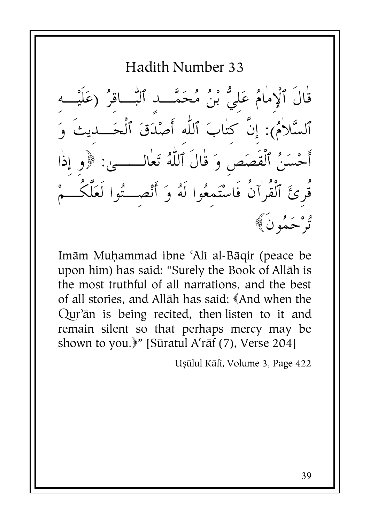Hadith Number 33 قٰالَ ٱلْإِمٰامُ عَليُّ بْنُ مُحَمَّـــد ٱلنّٰـــاقِرُ (عَاَ ٱلسَّلاٰمُ): إنَّ كتابَ ٱللَّٰه أَصْدَقَ ٱلْحَــديثَ أَحْسَنُ ٱلْقَصَصِ وَ قَالَ ٱللَّهُ تَعَالـــــىٰ: قُرئَ ٱلْقُرٰآنُ فَاسْتَمعُوا لَهُ وَ أَنْصِــتُوا لَعَلَّكُــ ثرْ حَمُونَ﴾

Imām Muhammad ibne 'Alī al-Bāgir (peace be upon him) has said: "Surely the Book of Allāh is the most truthful of all narrations, and the best of all stories, and Allāh has said: «And when the Qur'ān is being recited, then listen to it and remain silent so that perhaps mercy may be shown to you.<sup>y</sup>" [Sūratul A'rāf (7), Verse 204]

Uşülul Kāfi, Volume 3, Page 422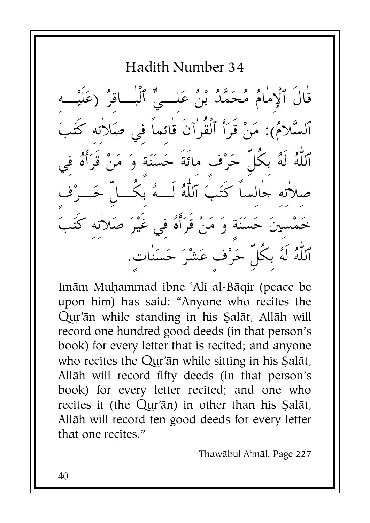Hadith Number 34 قال ٱلْإِمامُ مُحَمَّدُ بْنُ عَلِـــيٍّ ٱلبـــاقِرُ (عَلَيْـــهِ ٱلسَّلامُ): مَنْ قرَأَ ٱلقرآن قائِما فِي صَلاتِهِ كَتَبَ ٱللَّهُ لَهُ بِكُلِّ حَرْفٍ مِائَةٍ حَسَنَةٍ وَ مَنْ قَرَأَهُ فِي J صلاته حالسا كتَبَ ٱللَّهُ لـــهُ بكـــل حَـــرْف خَمْسِينَ حَسَنَةٍ وَ مَنْ قَرَأَهُ فِي غَيْرَ صَلاتِهِ كَتَبَ ٱللَّهُ لَهُ بِكُلِّ حَرْفٍ عَشْرَ حَسَناتٍ.

Imām Muhammad ibne 'Alī al-Bāqir (peace be upon him) has said: "Anyone who recites the Qur'ān while standing in his Salāt, Allāh will record one hundred good deeds (in that person's book) for every letter that is recited; and anyone who recites the  $\text{Qur}$ <sup> $\text{a}$ </sup> while sitting in his Sal $\text{a}$ t, Allāh will record fifty deeds (in that person's book) for every letter recited; and one who recites it (the Qur'ān) in other than his Salāt, Allāh will record ten good deeds for every letter that one recites."

Thawābul A'māl, Page 227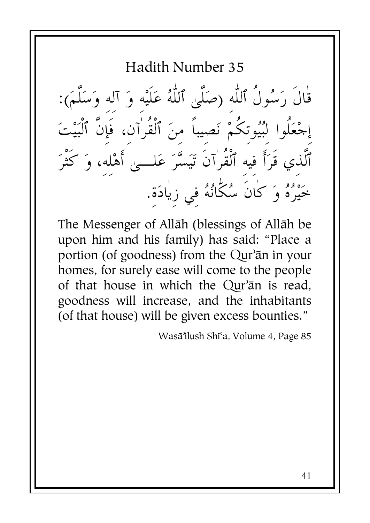Hadith Number 35

قال رَسُول ٱللَّهِ (صَلَىٰ ٱللَّهُ عَلَيْهِ وَ آلِهِ وَسَلَمَ): إجْعَلوا لِبُيُوتِكُمْ نَصِيباً مِنَ ٱلقرآنِ، فإن ٱلبَيْتَ  $\int$ ٱلذي قرَأ فيه ٱلقرآن تَيَسَّرَ عَلـــىٰ أَهْلِهِ، وَ كثرَ -خَيْرُهُ وَ كَانَ سُكَانُهُ فِي زِيَادَةٍ.

The Messenger of Allāh (blessings of Allāh be upon him and his family) has said: "Place a portion (of goodness) from the Qur'ān in your homes, for surely ease will come to the people of that house in which the Qur'an is read, goodness will increase, and the inhabitants (of that house) will be given excess bounties."

Wasā'ilush Shi'a, Volume 4, Page 85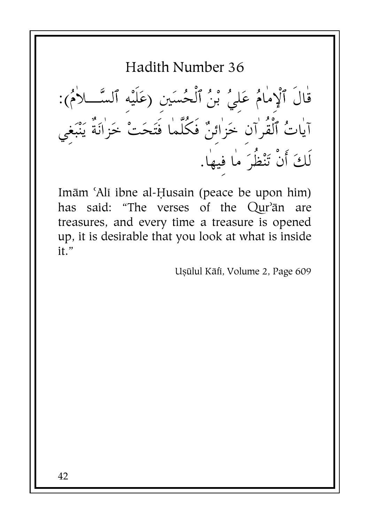قْالَ ٱلْإِمَامُ عَلِيُ بْنُ ٱلْحُسَينِ (عَلَيْهِ ٱلسَّـــلاَمُ):<br>آياتُ ٱلْقُرٰاَنِ خَزٰائِنٌ فَكُلَّمَا فَتَحَتْ خَزٰانَةٌ يَنْبَغِي لَكَ أَنْ تَنْظُرَ ما فيها.

Imām 'Alī ibne al-Husain (peace be upon him) has said: "The verses of the Our'an are treasures, and every time a treasure is opened up, it is desirable that you look at what is inside  $it$ "

Ușulul Kāfi, Volume 2, Page 609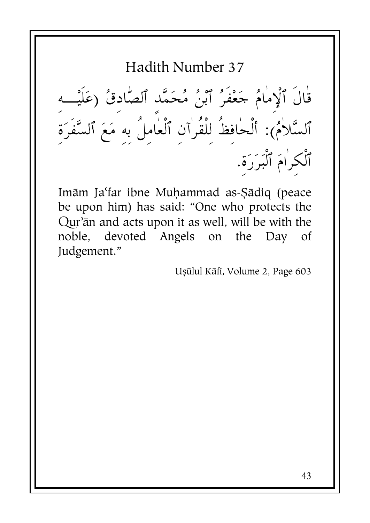قْالَ ٱلْإِمْامُ جَعْفَرُ ٱبْنُ مُحَمَّد ٱلصَّادقُ (عَلَيْـــه<br>ٱلسَّلامُ): أَلْحَافِظُ لِلْقُرانِ ٱلْعَامِلُ بِهِ مَعَ ٱلسَّفَرَةِ<br>ٱلْكِرٰامَ ٱلْبَرَرَةِ.

Imām Ja'far ibne Muhammad as-Şādiq (peace be upon him) has said: "One who protects the Qur'ān and acts upon it as well, will be with the noble, devoted Angels on the Day of Judgement."

Uşülul Kāfi, Volume 2, Page 603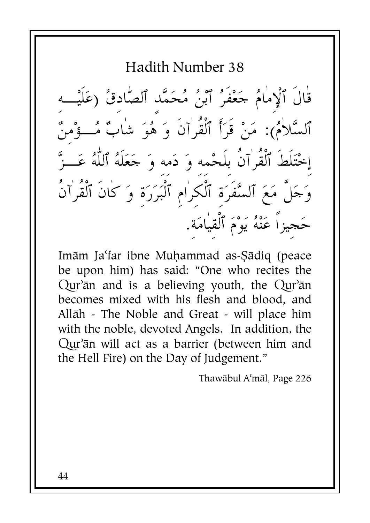قال ٱلْإِمامُ حَعْفُرُ ٱبْنُ مُحَمَّدِ ٱلصَّادِقُ (عَلَيْـــهِ ٱلسَّلاٰمُ): مَنْ قَرَأَ ٱلْقُرٰاَنَ وَ هُوَ شٰابٌ مُـــؤْمنٌ إخْتَلط ٱلقرآن بلحْمهِ وَ دَمِهِ وَ جَعَلَهُ ٱللَّهُ عَـــزَّ .<br>.<br>.  $\int$ وَجَلٍ مَعَ ٱلسَّفرَةِ ٱلكرَامِ ٱلبَرَرَةِ وَ كان ٱلقرآن حَجيزا عَنْهُ يَوْمَ ٱلقيامَةِ.

Imām Ja'far ibne Muḥammad as-Şādiq (peace be upon him) has said: "One who recites the Qur'ān and is a believing youth, the Qur'ān becomes mixed with his flesh and blood, and Allāh - The Noble and Great - will place him with the noble, devoted Angels. In addition, the Qur'ān will act as a barrier (between him and the Hell Fire) on the Day of Judgement."

Thawābul A'māl, Page 226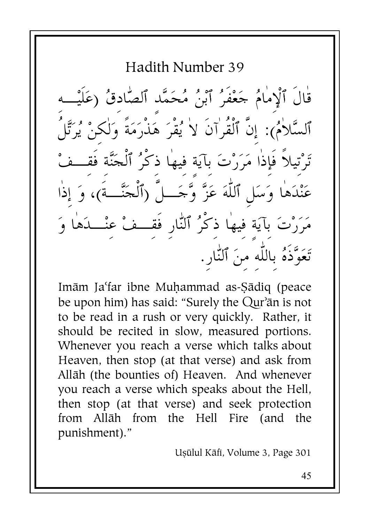Hadith Number 39 قال ٱلْإِمامُ حَعْفُرُ ٱبْنُ مُحَمَّدِ ٱلصَّادِقُ (عَلَيْـــهِ ٱلسَّلامُ): إِن ٱلقرآن لا يُقرَ هَذْرَمَة وَلَكِنْ يُرَتَّل تَرْتيلا فإذا مَرَرْتَ بآيَةٍ فِيها ذِكْرُ ٱلْجَنَّةِ فقــفْ عَنْدَهَا وَسَلِ ٱللَّهَ عَزَّ وَّحَـــلَ (ٱلْحَنَّـــةَ)، وَ إذا مَرَرْتَ بآيَةٍ فيها ذِكْرُ ٱلنَّارِ فقـــفْ عنْـــدَها وَ -تَعَوَّذَهُ بِاللَّهِ مِنَ ٱلنَّارِ.

Imām Ja'far ibne Muhammad as-Sādiq (peace be upon him) has said: "Surely the Qur'ān is not to be read in a rush or very quickly. Rather, it should be recited in slow, measured portions. Whenever you reach a verse which talks about Heaven, then stop (at that verse) and ask from Allāh (the bounties of) Heaven. And whenever you reach a verse which speaks about the Hell, then stop (at that verse) and seek protection from Allāh from the Hell Fire (and the punishment)."

Uşūlul Kāfi, Volume 3, Page 301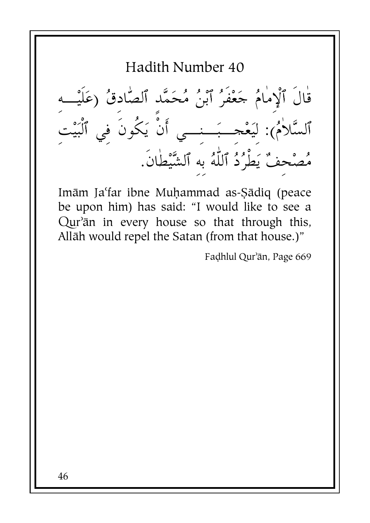Hadith Number 40 قال ٱلْإِمامُ حَعْفُرُ ٱبْنُ مُحَمَّدِ ٱلصَّادِقُ (عَلَيْـــهِ ٱلسَّلامُ): لِيَعْجِـــبَـــنِـــي أن يَكون فِي ٱلبَيْتِ مُصْحِفٌ يَطرُدُ ٱللَّهُ بِهِ ٱلشَّيْطَانِ.

Imām Ja'far ibne Muhammad as-Sādiq (peace be upon him) has said: "I would like to see a Qur'ān in every house so that through this, Allāh would repel the Satan (from that house.)"

Fadhlul Qur'ān, Page 669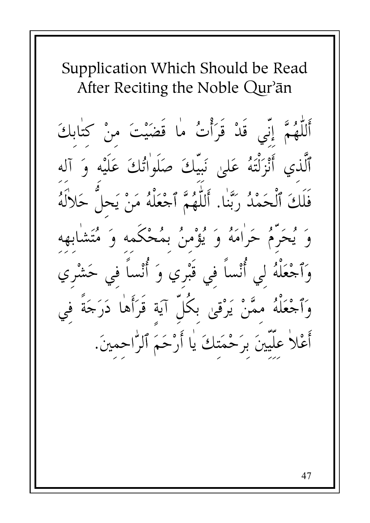Supplication Which Should be Read After Reciting the Noble Qur'an

أَللَّهُمَّ إِنِّي قَدْ قَرَأْتُ ما قَضَيْتَ منْ كتابكَ ٱلَّذِي أَنْزَلْتَهُ عَلَىٰ نَبِيِّكَ صَلَواٰتُكَ عَلَيْهِ وَ آله فَلَكَ ٱلْحَمْدُ رَبَّنٰا. أَللَّهُمَّ ٱجْعَلْهُ مَنْ يَحلُّ حَلالَهُ وَ يُحَرَّمُ حَرَامَهُ وَ يُؤْمِنُ بِمُحْكَمه وَ مُتَشَا وَٱجْعَلْهُ لِي أُنْساً في قَبْري وَ أُنْساً في حَشْري وَٱجْعَلْهُ ممَّنْ يَرْقي بكُلِّ آيَة قَرَأَها دَرَجَةً في أَعْلاً علَّيِّينَ برَحْمَتكَ يٰا أَرْحَمَ ٱلرَّاحمينَ.